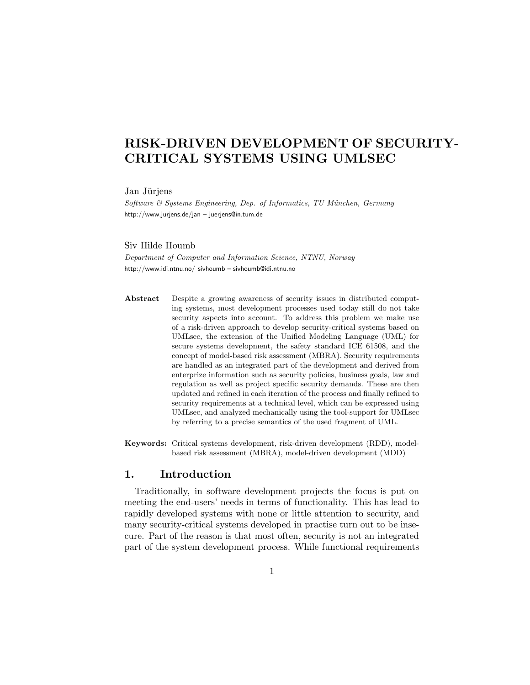# **RISK-DRIVEN DEVELOPMENT OF SECURITY-CRITICAL SYSTEMS USING UMLSEC**

Jan Jüriens

*Software & Systems Engineering, Dep. of Informatics, TU M¨unchen, Germany* http://www.jurjens.de/jan – juerjens@in.tum.de

#### Siv Hilde Houmb

*Department of Computer and Information Science, NTNU, Norway* http://www.idi.ntnu.no/ sivhoumb – sivhoumb@idi.ntnu.no

- **Abstract** Despite a growing awareness of security issues in distributed computing systems, most development processes used today still do not take security aspects into account. To address this problem we make use of a risk-driven approach to develop security-critical systems based on UMLsec, the extension of the Unified Modeling Language (UML) for secure systems development, the safety standard ICE 61508, and the concept of model-based risk assessment (MBRA). Security requirements are handled as an integrated part of the development and derived from enterprize information such as security policies, business goals, law and regulation as well as project specific security demands. These are then updated and refined in each iteration of the process and finally refined to security requirements at a technical level, which can be expressed using UMLsec, and analyzed mechanically using the tool-support for UMLsec by referring to a precise semantics of the used fragment of UML.
- **Keywords:** Critical systems development, risk-driven development (RDD), modelbased risk assessment (MBRA), model-driven development (MDD)

### **1. Introduction**

Traditionally, in software development projects the focus is put on meeting the end-users' needs in terms of functionality. This has lead to rapidly developed systems with none or little attention to security, and many security-critical systems developed in practise turn out to be insecure. Part of the reason is that most often, security is not an integrated part of the system development process. While functional requirements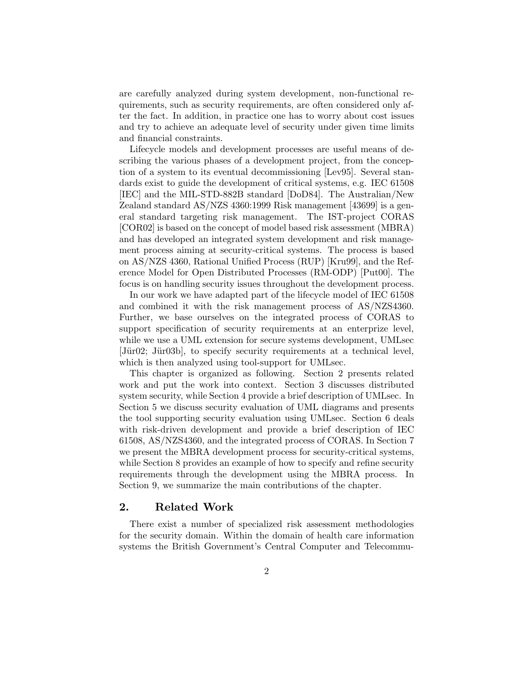are carefully analyzed during system development, non-functional requirements, such as security requirements, are often considered only after the fact. In addition, in practice one has to worry about cost issues and try to achieve an adequate level of security under given time limits and financial constraints.

Lifecycle models and development processes are useful means of describing the various phases of a development project, from the conception of a system to its eventual decommissioning [Lev95]. Several standards exist to guide the development of critical systems, e.g. IEC 61508 [IEC] and the MIL-STD-882B standard [DoD84]. The Australian/New Zealand standard AS/NZS 4360:1999 Risk management [43699] is a general standard targeting risk management. The IST-project CORAS [COR02] is based on the concept of model based risk assessment (MBRA) and has developed an integrated system development and risk management process aiming at security-critical systems. The process is based on AS/NZS 4360, Rational Unified Process (RUP) [Kru99], and the Reference Model for Open Distributed Processes (RM-ODP) [Put00]. The focus is on handling security issues throughout the development process.

In our work we have adapted part of the lifecycle model of IEC 61508 and combined it with the risk management process of AS/NZS4360. Further, we base ourselves on the integrated process of CORAS to support specification of security requirements at an enterprize level, while we use a UML extension for secure systems development, UMLsec [Jür02; Jür03b], to specify security requirements at a technical level, which is then analyzed using tool-support for UMLsec.

This chapter is organized as following. Section 2 presents related work and put the work into context. Section 3 discusses distributed system security, while Section 4 provide a brief description of UMLsec. In Section 5 we discuss security evaluation of UML diagrams and presents the tool supporting security evaluation using UMLsec. Section 6 deals with risk-driven development and provide a brief description of IEC 61508, AS/NZS4360, and the integrated process of CORAS. In Section 7 we present the MBRA development process for security-critical systems, while Section 8 provides an example of how to specify and refine security requirements through the development using the MBRA process. In Section 9, we summarize the main contributions of the chapter.

### **2. Related Work**

There exist a number of specialized risk assessment methodologies for the security domain. Within the domain of health care information systems the British Government's Central Computer and Telecommu-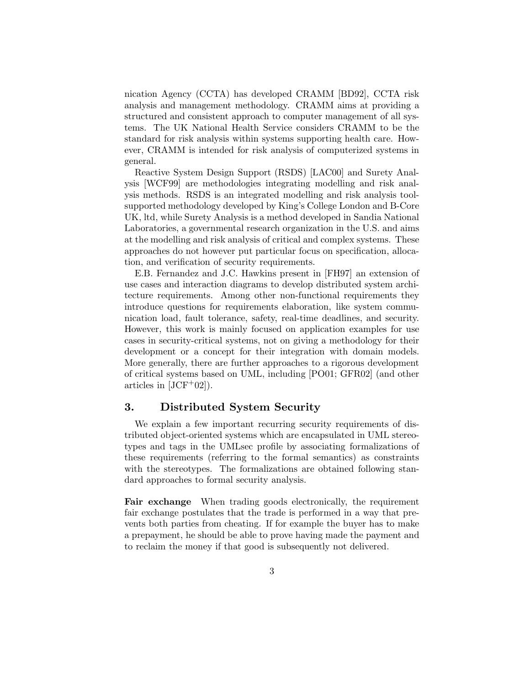nication Agency (CCTA) has developed CRAMM [BD92], CCTA risk analysis and management methodology. CRAMM aims at providing a structured and consistent approach to computer management of all systems. The UK National Health Service considers CRAMM to be the standard for risk analysis within systems supporting health care. However, CRAMM is intended for risk analysis of computerized systems in general.

Reactive System Design Support (RSDS) [LAC00] and Surety Analysis [WCF99] are methodologies integrating modelling and risk analysis methods. RSDS is an integrated modelling and risk analysis toolsupported methodology developed by King's College London and B-Core UK, ltd, while Surety Analysis is a method developed in Sandia National Laboratories, a governmental research organization in the U.S. and aims at the modelling and risk analysis of critical and complex systems. These approaches do not however put particular focus on specification, allocation, and verification of security requirements.

E.B. Fernandez and J.C. Hawkins present in [FH97] an extension of use cases and interaction diagrams to develop distributed system architecture requirements. Among other non-functional requirements they introduce questions for requirements elaboration, like system communication load, fault tolerance, safety, real-time deadlines, and security. However, this work is mainly focused on application examples for use cases in security-critical systems, not on giving a methodology for their development or a concept for their integration with domain models. More generally, there are further approaches to a rigorous development of critical systems based on UML, including [PO01; GFR02] (and other articles in  $[JCF<sup>+</sup>02]$ ).

### **3. Distributed System Security**

We explain a few important recurring security requirements of distributed object-oriented systems which are encapsulated in UML stereotypes and tags in the UMLsec profile by associating formalizations of these requirements (referring to the formal semantics) as constraints with the stereotypes. The formalizations are obtained following standard approaches to formal security analysis.

**Fair exchange** When trading goods electronically, the requirement fair exchange postulates that the trade is performed in a way that prevents both parties from cheating. If for example the buyer has to make a prepayment, he should be able to prove having made the payment and to reclaim the money if that good is subsequently not delivered.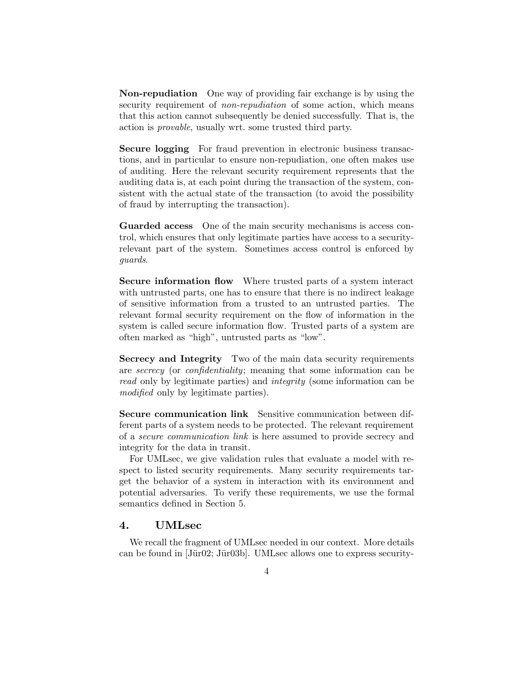**Non-repudiation** One way of providing fair exchange is by using the security requirement of *non-repudiation* of some action, which means that this action cannot subsequently be denied successfully. That is, the action is *provable*, usually wrt. some trusted third party.

**Secure logging** For fraud prevention in electronic business transactions, and in particular to ensure non-repudiation, one often makes use of auditing. Here the relevant security requirement represents that the auditing data is, at each point during the transaction of the system, consistent with the actual state of the transaction (to avoid the possibility of fraud by interrupting the transaction).

**Guarded access** One of the main security mechanisms is access control, which ensures that only legitimate parties have access to a securityrelevant part of the system. Sometimes access control is enforced by *guards*.

**Secure information flow** Where trusted parts of a system interact with untrusted parts, one has to ensure that there is no indirect leakage of sensitive information from a trusted to an untrusted parties. The relevant formal security requirement on the flow of information in the system is called secure information flow. Trusted parts of a system are often marked as "high", untrusted parts as "low".

**Secrecy and Integrity** Two of the main data security requirements are *secrecy* (or *confidentiality*; meaning that some information can be *read* only by legitimate parties) and *integrity* (some information can be *modified* only by legitimate parties).

**Secure communication link** Sensitive communication between different parts of a system needs to be protected. The relevant requirement of a *secure communication link* is here assumed to provide secrecy and integrity for the data in transit.

For UMLsec, we give validation rules that evaluate a model with respect to listed security requirements. Many security requirements target the behavior of a system in interaction with its environment and potential adversaries. To verify these requirements, we use the formal semantics defined in Section 5.

### **4. UMLsec**

We recall the fragment of UMLsec needed in our context. More details can be found in [Jür02; Jür03b]. UMLsec allows one to express security-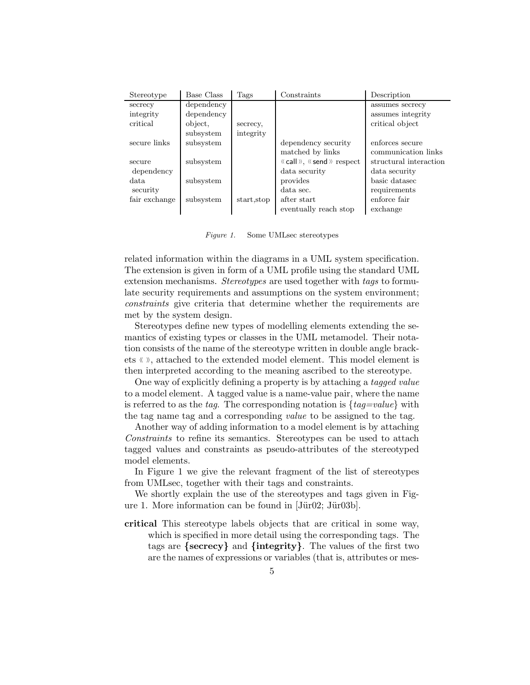| Stereotype    | Base Class | Tags        | Constraints                                                                 | Description            |
|---------------|------------|-------------|-----------------------------------------------------------------------------|------------------------|
| secrecy       | dependency |             |                                                                             | assumes secrecy        |
| integrity     | dependency |             |                                                                             | assumes integrity      |
| critical      | object,    | secrecy,    |                                                                             | critical object        |
|               | subsystem  | integrity   |                                                                             |                        |
| secure links  | subsystem  |             | dependency security                                                         | enforces secure        |
|               |            |             | matched by links                                                            | communication links    |
| secure        | subsystem  |             | $\langle \langle$ call $\rangle$ , $\langle \langle$ send $\rangle$ respect | structural interaction |
| dependency    |            |             | data security                                                               | data security          |
| data          | subsystem  |             | provides                                                                    | basic datasec          |
| security      |            |             | data sec.                                                                   | requirements           |
| fair exchange | subsystem  | start, stop | after start                                                                 | enforce fair           |
|               |            |             | eventually reach stop                                                       | exchange               |

*Figure 1.* Some UMLsec stereotypes

related information within the diagrams in a UML system specification. The extension is given in form of a UML profile using the standard UML extension mechanisms. *Stereotypes* are used together with *tags* to formulate security requirements and assumptions on the system environment; *constraints* give criteria that determine whether the requirements are met by the system design.

Stereotypes define new types of modelling elements extending the semantics of existing types or classes in the UML metamodel. Their notation consists of the name of the stereotype written in double angle brackets  $\langle \rangle$ , attached to the extended model element. This model element is then interpreted according to the meaning ascribed to the stereotype.

One way of explicitly defining a property is by attaching a *tagged value* to a model element. A tagged value is a name-value pair, where the name is referred to as the *tag*. The corresponding notation is {*tag=value*} with the tag name tag and a corresponding *value* to be assigned to the tag.

Another way of adding information to a model element is by attaching *Constraints* to refine its semantics. Stereotypes can be used to attach tagged values and constraints as pseudo-attributes of the stereotyped model elements.

In Figure 1 we give the relevant fragment of the list of stereotypes from UMLsec, together with their tags and constraints.

We shortly explain the use of the stereotypes and tags given in Figure 1. More information can be found in  $[\text{Jür02}; \text{Jür03b}].$ 

**critical** This stereotype labels objects that are critical in some way, which is specified in more detail using the corresponding tags. The tags are *{***secrecy***}* and *{***integrity***}*. The values of the first two are the names of expressions or variables (that is, attributes or mes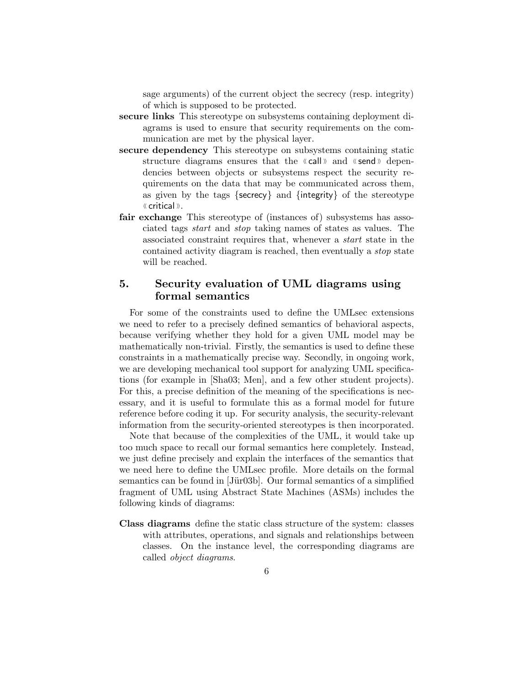sage arguments) of the current object the secrecy (resp. integrity) of which is supposed to be protected.

- **secure links** This stereotype on subsystems containing deployment diagrams is used to ensure that security requirements on the communication are met by the physical layer.
- **secure dependency** This stereotype on subsystems containing static structure diagrams ensures that the «call» and «send» dependencies between objects or subsystems respect the security requirements on the data that may be communicated across them, as given by the tags  $\{$  secrecy $\}$  and  $\{$  integrity $\}$  of the stereotype  $\%$  critical  $\%$ .
- **fair exchange** This stereotype of (instances of) subsystems has associated tags *start* and *stop* taking names of states as values. The associated constraint requires that, whenever a *start* state in the contained activity diagram is reached, then eventually a *stop* state will be reached.

## **5. Security evaluation of UML diagrams using formal semantics**

For some of the constraints used to define the UMLsec extensions we need to refer to a precisely defined semantics of behavioral aspects, because verifying whether they hold for a given UML model may be mathematically non-trivial. Firstly, the semantics is used to define these constraints in a mathematically precise way. Secondly, in ongoing work, we are developing mechanical tool support for analyzing UML specifications (for example in [Sha03; Men], and a few other student projects). For this, a precise definition of the meaning of the specifications is necessary, and it is useful to formulate this as a formal model for future reference before coding it up. For security analysis, the security-relevant information from the security-oriented stereotypes is then incorporated.

Note that because of the complexities of the UML, it would take up too much space to recall our formal semantics here completely. Instead, we just define precisely and explain the interfaces of the semantics that we need here to define the UMLsec profile. More details on the formal semantics can be found in [Jür03b]. Our formal semantics of a simplified fragment of UML using Abstract State Machines (ASMs) includes the following kinds of diagrams:

**Class diagrams** define the static class structure of the system: classes with attributes, operations, and signals and relationships between classes. On the instance level, the corresponding diagrams are called *object diagrams*.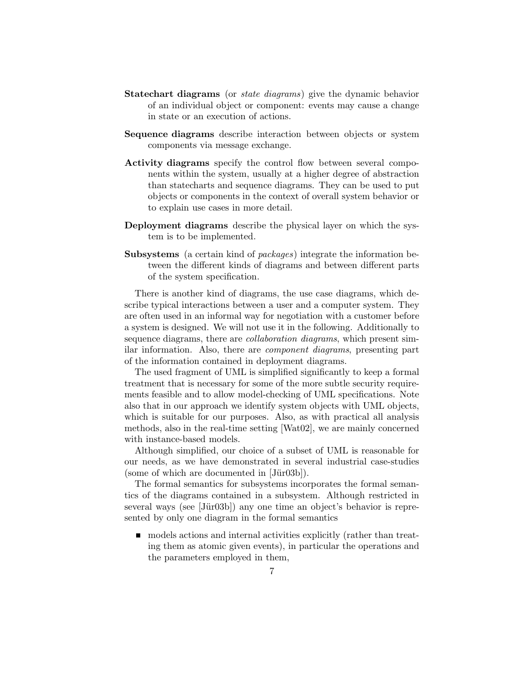- **Statechart diagrams** (or *state diagrams*) give the dynamic behavior of an individual object or component: events may cause a change in state or an execution of actions.
- **Sequence diagrams** describe interaction between objects or system components via message exchange.
- **Activity diagrams** specify the control flow between several components within the system, usually at a higher degree of abstraction than statecharts and sequence diagrams. They can be used to put objects or components in the context of overall system behavior or to explain use cases in more detail.
- **Deployment diagrams** describe the physical layer on which the system is to be implemented.
- **Subsystems** (a certain kind of *packages*) integrate the information between the different kinds of diagrams and between different parts of the system specification.

There is another kind of diagrams, the use case diagrams, which describe typical interactions between a user and a computer system. They are often used in an informal way for negotiation with a customer before a system is designed. We will not use it in the following. Additionally to sequence diagrams, there are *collaboration diagrams*, which present similar information. Also, there are *component diagrams*, presenting part of the information contained in deployment diagrams.

The used fragment of UML is simplified significantly to keep a formal treatment that is necessary for some of the more subtle security requirements feasible and to allow model-checking of UML specifications. Note also that in our approach we identify system objects with UML objects, which is suitable for our purposes. Also, as with practical all analysis methods, also in the real-time setting [Wat02], we are mainly concerned with instance-based models.

Although simplified, our choice of a subset of UML is reasonable for our needs, as we have demonstrated in several industrial case-studies (some of which are documented in  $[\text{Jür03b}]$ ).

The formal semantics for subsystems incorporates the formal semantics of the diagrams contained in a subsystem. Although restricted in several ways (see [Jür03b]) any one time an object's behavior is represented by only one diagram in the formal semantics

models actions and internal activities explicitly (rather than treating them as atomic given events), in particular the operations and the parameters employed in them,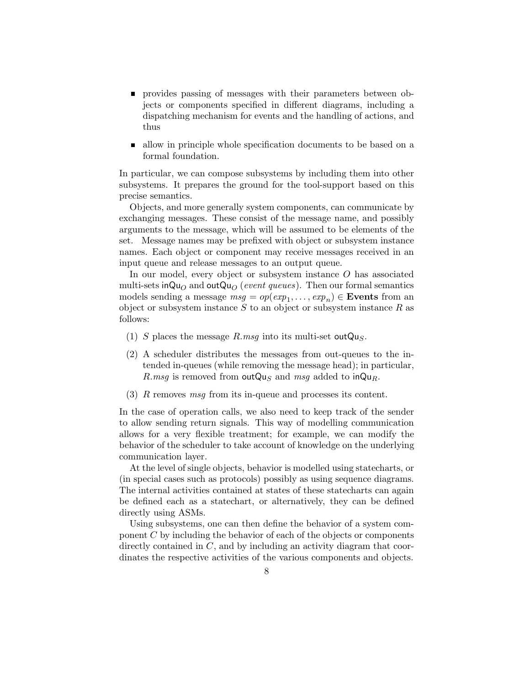- provides passing of messages with their parameters between objects or components specified in different diagrams, including a dispatching mechanism for events and the handling of actions, and thus
- allow in principle whole specification documents to be based on a formal foundation.

In particular, we can compose subsystems by including them into other subsystems. It prepares the ground for the tool-support based on this precise semantics.

Objects, and more generally system components, can communicate by exchanging messages. These consist of the message name, and possibly arguments to the message, which will be assumed to be elements of the set. Message names may be prefixed with object or subsystem instance names. Each object or component may receive messages received in an input queue and release messages to an output queue.

In our model, every object or subsystem instance *O* has associated multi-sets in $\mathsf{Qu}_O$  and out $\mathsf{Qu}_O$  (*event queues*). Then our formal semantics models sending a message  $msg = op(exp_1, \ldots, exp_n) \in$ **Events** from an object or subsystem instance *S* to an object or subsystem instance *R* as follows:

- (1) *S* places the message *R.msg* into its multi-set outQu<sub>S</sub>.
- (2) A scheduler distributes the messages from out-queues to the intended in-queues (while removing the message head); in particular, *R.msg* is removed from outQu<sub>S</sub> and *msg* added to  $\mathsf{inQu}_R$ .
- (3) *R* removes *msg* from its in-queue and processes its content.

In the case of operation calls, we also need to keep track of the sender to allow sending return signals. This way of modelling communication allows for a very flexible treatment; for example, we can modify the behavior of the scheduler to take account of knowledge on the underlying communication layer.

At the level of single objects, behavior is modelled using statecharts, or (in special cases such as protocols) possibly as using sequence diagrams. The internal activities contained at states of these statecharts can again be defined each as a statechart, or alternatively, they can be defined directly using ASMs.

Using subsystems, one can then define the behavior of a system component *C* by including the behavior of each of the objects or components directly contained in *C*, and by including an activity diagram that coordinates the respective activities of the various components and objects.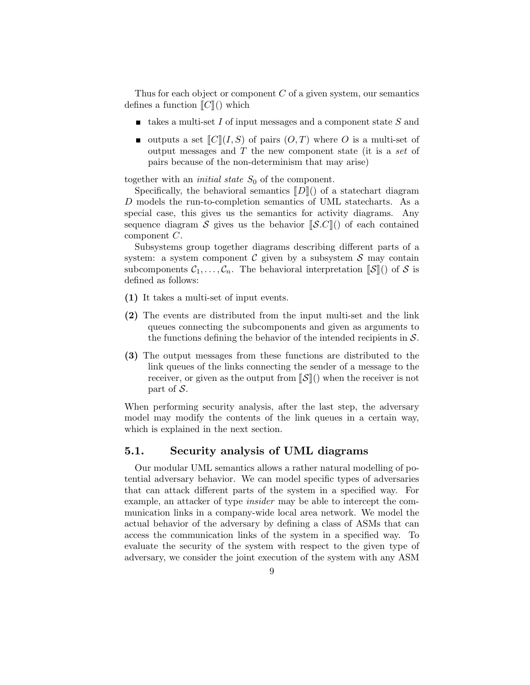Thus for each object or component *C* of a given system, our semantics defines a function  $\llbracket C \rrbracket$  () which

- takes a multi-set *I* of input messages and a component state *S* and
- outputs a set  $\llbracket C \rrbracket (I, S)$  of pairs  $(O, T)$  where  $O$  is a multi-set of output messages and *T* the new component state (it is a *set* of pairs because of the non-determinism that may arise)

together with an *initial state*  $S_0$  of the component.

Specifically, the behavioral semantics  $\llbracket D \rrbracket$  of a statechart diagram *D* models the run-to-completion semantics of UML statecharts. As a special case, this gives us the semantics for activity diagrams. Any sequence diagram  $\overline{S}$  gives us the behavior  $[\![\mathcal{S}\mathcal{L}]\!]($  of each contained component *C*.

Subsystems group together diagrams describing different parts of a system: a system component  $\mathcal C$  given by a subsystem  $\mathcal S$  may contain subcomponents  $C_1, \ldots, C_n$ . The behavioral interpretation  $\llbracket \mathcal{S} \rrbracket$  () of S is defined as follows:

- **(1)** It takes a multi-set of input events.
- **(2)** The events are distributed from the input multi-set and the link queues connecting the subcomponents and given as arguments to the functions defining the behavior of the intended recipients in  $S$ .
- **(3)** The output messages from these functions are distributed to the link queues of the links connecting the sender of a message to the receiver, or given as the output from  $\llbracket \mathcal{S} \rrbracket$  () when the receiver is not part of  $S$ .

When performing security analysis, after the last step, the adversary model may modify the contents of the link queues in a certain way, which is explained in the next section.

## **5.1. Security analysis of UML diagrams**

Our modular UML semantics allows a rather natural modelling of potential adversary behavior. We can model specific types of adversaries that can attack different parts of the system in a specified way. For example, an attacker of type *insider* may be able to intercept the communication links in a company-wide local area network. We model the actual behavior of the adversary by defining a class of ASMs that can access the communication links of the system in a specified way. To evaluate the security of the system with respect to the given type of adversary, we consider the joint execution of the system with any ASM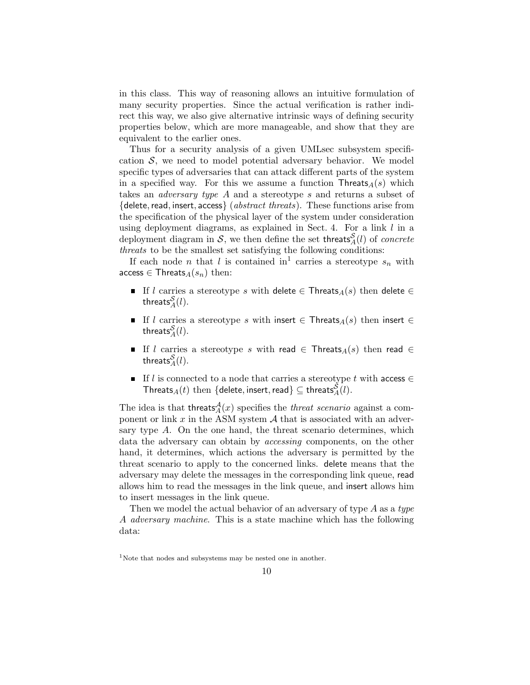in this class. This way of reasoning allows an intuitive formulation of many security properties. Since the actual verification is rather indirect this way, we also give alternative intrinsic ways of defining security properties below, which are more manageable, and show that they are equivalent to the earlier ones.

Thus for a security analysis of a given UMLsec subsystem specification  $S$ , we need to model potential adversary behavior. We model specific types of adversaries that can attack different parts of the system in a specified way. For this we assume a function  $\mathsf{Threats}_A(s)$  which takes an *adversary type A* and a stereotype *s* and returns a subset of {delete*,*read*,* insert*,* access} (*abstract threats*). These functions arise from the specification of the physical layer of the system under consideration using deployment diagrams, as explained in Sect. 4. For a link *l* in a deployment diagram in S, we then define the set threats ${}_{A}^{S}(l)$  of *concrete threats* to be the smallest set satisfying the following conditions:

If each node *n* that *l* is contained in<sup>1</sup> carries a stereotype  $s_n$  with  $\textsf{access} \in \textsf{Threats}_A(s_n)$  then:

- **■** If *l* carries a stereotype *s* with delete  $\in$  Threats<sub>*A*</sub>(*s*) then delete  $\in$ threats ${}_{A}^{\mathcal{S}}(l)$ .
- **If** *l* carries a stereotype *s* with insert ∈ Threats<sub>*A*</sub>(*s*) then insert ∈ threats ${}_{A}^{\mathcal{S}}(l)$ .
- If *l* carries a stereotype *s* with read  $\in$  Threats<sub>*A*</sub>(*s*) then read  $\in$ threats ${}_{A}^{\mathcal{S}}(l)$ .
- If *<sup>l</sup>* is connected to a node that carries a stereotype *<sup>t</sup>* with access <sup>∈</sup>  $\text{Threats}_{A}(t)$  then  $\{\text{delete}, \text{insert}, \text{read}\} \subseteq \text{threads}_{A}^{\tilde{S}}(l).$

The idea is that threats ${}_{A}^{A}(x)$  specifies the *threat scenario* against a component or link  $x$  in the ASM system  $A$  that is associated with an adversary type *A*. On the one hand, the threat scenario determines, which data the adversary can obtain by *accessing* components, on the other hand, it determines, which actions the adversary is permitted by the threat scenario to apply to the concerned links. delete means that the adversary may delete the messages in the corresponding link queue, read allows him to read the messages in the link queue, and insert allows him to insert messages in the link queue.

Then we model the actual behavior of an adversary of type *A* as a *type A adversary machine*. This is a state machine which has the following data:

<sup>&</sup>lt;sup>1</sup>Note that nodes and subsystems may be nested one in another.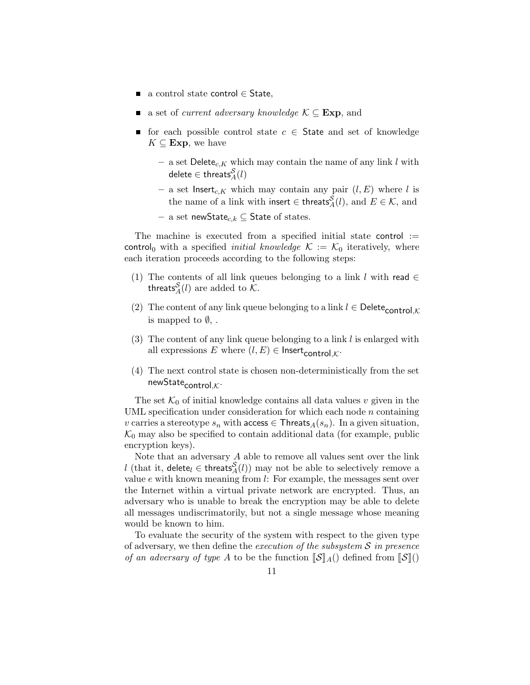- a control state control  $\in$  State,
- a set of *current adversary knowledge*  $\mathcal{K} \subseteq \mathbf{Exp}$ , and  $\blacksquare$
- for each possible control state  $c \in$  State and set of knowledge  $K \subseteq \mathbf{Exp}$ , we have
	- **–** a set Delete*c,K* which may contain the name of any link *l* with  $\mathsf{delete} \in \mathsf{threads}_A^\mathcal{S}(l)$
	- $-$  a set Insert<sub>c,K</sub> which may contain any pair  $(l, E)$  where *l* is the name of a link with insert  $\in$  threats ${}_{A}^{\mathcal{S}}(l)$ , and  $E \in \mathcal{K}$ , and
	- **–** a set newState*c,k* ⊆ State of states.

The machine is executed from a specified initial state control  $:=$ control<sub>0</sub> with a specified *initial knowledge*  $K := K_0$  iteratively, where each iteration proceeds according to the following steps:

- (1) The contents of all link queues belonging to a link *l* with read  $\in$ threats ${}_{A}^{\mathcal{S}}(l)$  are added to  $\mathcal{K}.$
- (2) The content of any link queue belonging to a link  $l \in \mathsf{Delete}_{\mathsf{control}, \mathcal{K}}$ is mapped to  $\emptyset$ ,.
- (3) The content of any link queue belonging to a link *l* is enlarged with all expressions *E* where  $(l, E) \in$  Insert<sub>control, $\mathcal{K}$ .</sub>
- (4) The next control state is chosen non-deterministically from the set newStatecontrol*,K*.

The set  $\mathcal{K}_0$  of initial knowledge contains all data values  $v$  given in the UML specification under consideration for which each node *n* containing *v* carries a stereotype  $s_n$  with access  $\in$  Threats $_A(s_n)$ . In a given situation,  $\mathcal{K}_0$  may also be specified to contain additional data (for example, public encryption keys).

Note that an adversary *A* able to remove all values sent over the link *l* (that it, delete<sub>*l*</sub> ∈ threats ${}_{A}^{S}(l)$ ) may not be able to selectively remove a value *e* with known meaning from *l*: For example, the messages sent over the Internet within a virtual private network are encrypted. Thus, an adversary who is unable to break the encryption may be able to delete all messages undiscrimatorily, but not a single message whose meaning would be known to him.

To evaluate the security of the system with respect to the given type of adversary, we then define the *execution of the subsystem* S *in presence*  $of$   $an$   $adversary$   $of$   $type$   $A$  to be the function  $[\![\mathcal{S}]\!]_A()$  defined from  $[\![\mathcal{S}]\!]()$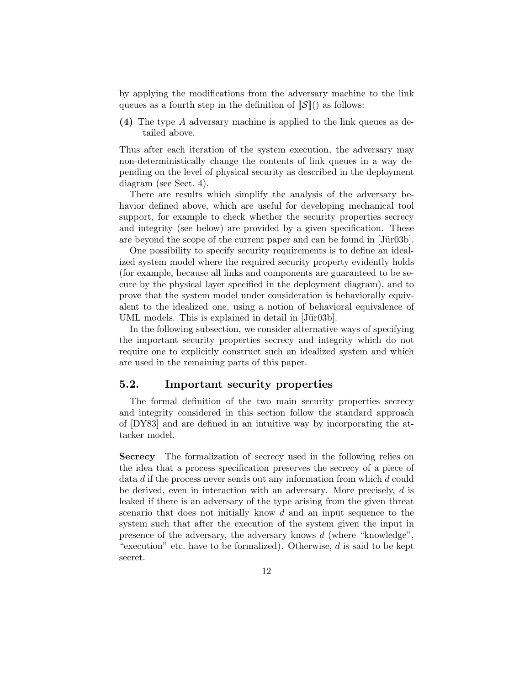by applying the modifications from the adversary machine to the link queues as a fourth step in the definition of  $\llbracket \mathcal{S} \rrbracket$ () as follows:

**(4)** The type *A* adversary machine is applied to the link queues as detailed above.

Thus after each iteration of the system execution, the adversary may non-deterministically change the contents of link queues in a way depending on the level of physical security as described in the deployment diagram (see Sect. 4).

There are results which simplify the analysis of the adversary behavior defined above, which are useful for developing mechanical tool support, for example to check whether the security properties secrecy and integrity (see below) are provided by a given specification. These are beyond the scope of the current paper and can be found in  $[\text{Jür03b}]$ .

One possibility to specify security requirements is to define an idealized system model where the required security property evidently holds (for example, because all links and components are guaranteed to be secure by the physical layer specified in the deployment diagram), and to prove that the system model under consideration is behaviorally equivalent to the idealized one, using a notion of behavioral equivalence of UML models. This is explained in detail in [Jür03b].

In the following subsection, we consider alternative ways of specifying the important security properties secrecy and integrity which do not require one to explicitly construct such an idealized system and which are used in the remaining parts of this paper.

## **5.2. Important security properties**

The formal definition of the two main security properties secrecy and integrity considered in this section follow the standard approach of [DY83] and are defined in an intuitive way by incorporating the attacker model.

**Secrecy** The formalization of secrecy used in the following relies on the idea that a process specification preserves the secrecy of a piece of data *d* if the process never sends out any information from which *d* could be derived, even in interaction with an adversary. More precisely, *d* is leaked if there is an adversary of the type arising from the given threat scenario that does not initially know *d* and an input sequence to the system such that after the execution of the system given the input in presence of the adversary, the adversary knows *d* (where "knowledge", "execution" etc. have to be formalized). Otherwise, *d* is said to be kept secret.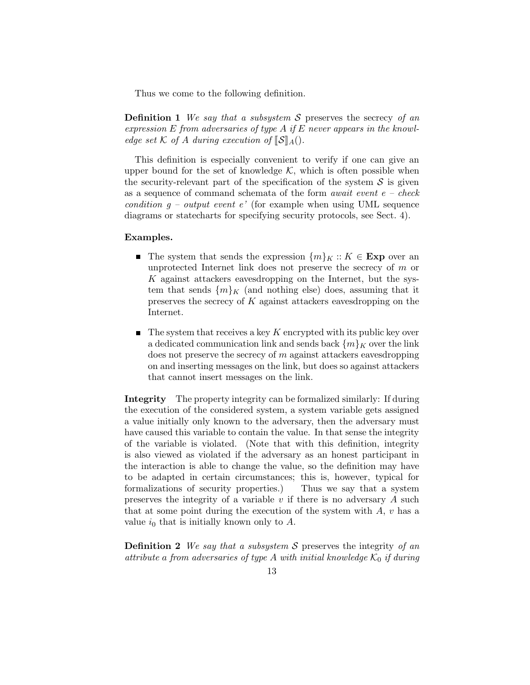Thus we come to the following definition.

**Definition 1** *We say that a subsystem* S preserves the secrecy *of an expression E from adversaries of type A if E never appears in the knowledge set*  $K$  *of*  $A$  *during execution of*  $\llbracket S \rrbracket_A()$ *.* 

This definition is especially convenient to verify if one can give an upper bound for the set of knowledge  $K$ , which is often possible when the security-relevant part of the specification of the system  $\mathcal S$  is given as a sequence of command schemata of the form *await event e – check condition g – output event e'* (for example when using UML sequence diagrams or statecharts for specifying security protocols, see Sect. 4).

#### **Examples.**

- The system that sends the expression  ${m}_{K}$  ::  $K \in \mathbf{Exp}$  over an unprotected Internet link does not preserve the secrecy of *m* or *K* against attackers eavesdropping on the Internet, but the system that sends  ${m_K$  (and nothing else) does, assuming that it preserves the secrecy of *K* against attackers eavesdropping on the Internet.
- $\blacksquare$  The system that receives a key *K* encrypted with its public key over a dedicated communication link and sends back  ${m}_{K}$  over the link does not preserve the secrecy of *m* against attackers eavesdropping on and inserting messages on the link, but does so against attackers that cannot insert messages on the link.

**Integrity** The property integrity can be formalized similarly: If during the execution of the considered system, a system variable gets assigned a value initially only known to the adversary, then the adversary must have caused this variable to contain the value. In that sense the integrity of the variable is violated. (Note that with this definition, integrity is also viewed as violated if the adversary as an honest participant in the interaction is able to change the value, so the definition may have to be adapted in certain circumstances; this is, however, typical for formalizations of security properties.) Thus we say that a system preserves the integrity of a variable *v* if there is no adversary *A* such that at some point during the execution of the system with *A*, *v* has a value  $i_0$  that is initially known only to  $A$ .

**Definition 2** *We say that a subsystem* S preserves the integrity *of an attribute* a *from adversaries of type A with initial knowledge*  $K_0$  *if during*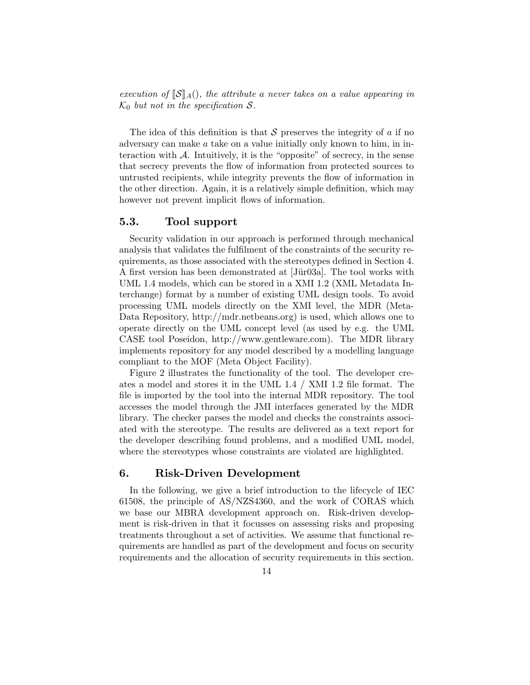$\mathcal{E}$  *execution of*  $\llbracket \mathcal{S} \rrbracket_A()$ *, the attribute a never takes on a value appearing in*  $\mathcal{K}_0$  *but not in the specification*  $\mathcal{S}$ *.* 

The idea of this definition is that  $S$  preserves the integrity of  $\alpha$  if no adversary can make *a* take on a value initially only known to him, in interaction with  $A$ . Intuitively, it is the "opposite" of secrecy, in the sense that secrecy prevents the flow of information from protected sources to untrusted recipients, while integrity prevents the flow of information in the other direction. Again, it is a relatively simple definition, which may however not prevent implicit flows of information.

#### **5.3. Tool support**

Security validation in our approach is performed through mechanical analysis that validates the fulfilment of the constraints of the security requirements, as those associated with the stereotypes defined in Section 4. A first version has been demonstrated at [Jür03a]. The tool works with UML 1.4 models, which can be stored in a XMI 1.2 (XML Metadata Interchange) format by a number of existing UML design tools. To avoid processing UML models directly on the XMI level, the MDR (Meta-Data Repository, http://mdr.netbeans.org) is used, which allows one to operate directly on the UML concept level (as used by e.g. the UML CASE tool Poseidon, http://www.gentleware.com). The MDR library implements repository for any model described by a modelling language compliant to the MOF (Meta Object Facility).

Figure 2 illustrates the functionality of the tool. The developer creates a model and stores it in the UML 1.4 / XMI 1.2 file format. The file is imported by the tool into the internal MDR repository. The tool accesses the model through the JMI interfaces generated by the MDR library. The checker parses the model and checks the constraints associated with the stereotype. The results are delivered as a text report for the developer describing found problems, and a modified UML model, where the stereotypes whose constraints are violated are highlighted.

### **6. Risk-Driven Development**

In the following, we give a brief introduction to the lifecycle of IEC 61508, the principle of AS/NZS4360, and the work of CORAS which we base our MBRA development approach on. Risk-driven development is risk-driven in that it focusses on assessing risks and proposing treatments throughout a set of activities. We assume that functional requirements are handled as part of the development and focus on security requirements and the allocation of security requirements in this section.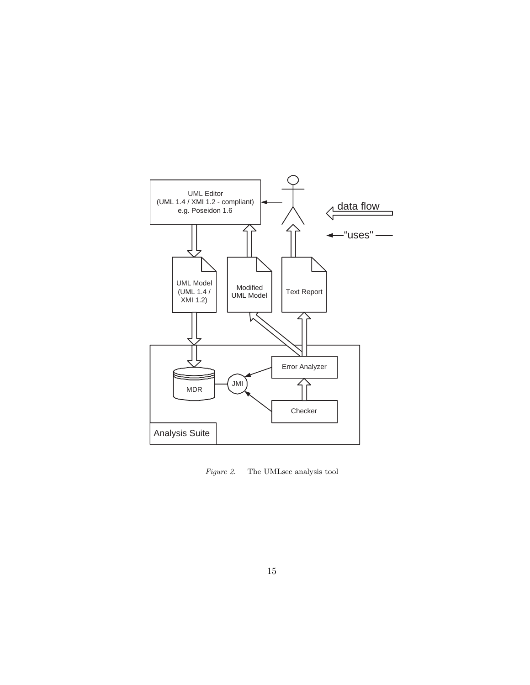

*Figure 2.* The UMLsec analysis tool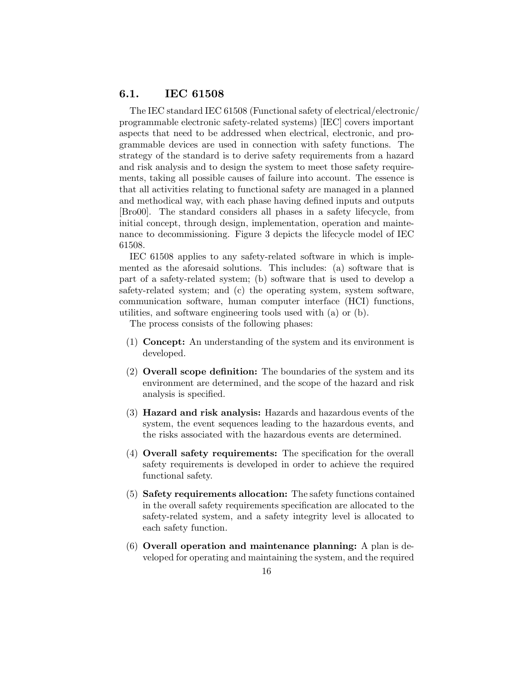### **6.1. IEC 61508**

The IEC standard IEC 61508 (Functional safety of electrical/electronic/ programmable electronic safety-related systems) [IEC] covers important aspects that need to be addressed when electrical, electronic, and programmable devices are used in connection with safety functions. The strategy of the standard is to derive safety requirements from a hazard and risk analysis and to design the system to meet those safety requirements, taking all possible causes of failure into account. The essence is that all activities relating to functional safety are managed in a planned and methodical way, with each phase having defined inputs and outputs [Bro00]. The standard considers all phases in a safety lifecycle, from initial concept, through design, implementation, operation and maintenance to decommissioning. Figure 3 depicts the lifecycle model of IEC 61508.

IEC 61508 applies to any safety-related software in which is implemented as the aforesaid solutions. This includes: (a) software that is part of a safety-related system; (b) software that is used to develop a safety-related system; and (c) the operating system, system software, communication software, human computer interface (HCI) functions, utilities, and software engineering tools used with (a) or (b).

The process consists of the following phases:

- (1) **Concept:** An understanding of the system and its environment is developed.
- (2) **Overall scope definition:** The boundaries of the system and its environment are determined, and the scope of the hazard and risk analysis is specified.
- (3) **Hazard and risk analysis:** Hazards and hazardous events of the system, the event sequences leading to the hazardous events, and the risks associated with the hazardous events are determined.
- (4) **Overall safety requirements:** The specification for the overall safety requirements is developed in order to achieve the required functional safety.
- (5) **Safety requirements allocation:** The safety functions contained in the overall safety requirements specification are allocated to the safety-related system, and a safety integrity level is allocated to each safety function.
- (6) **Overall operation and maintenance planning:** A plan is developed for operating and maintaining the system, and the required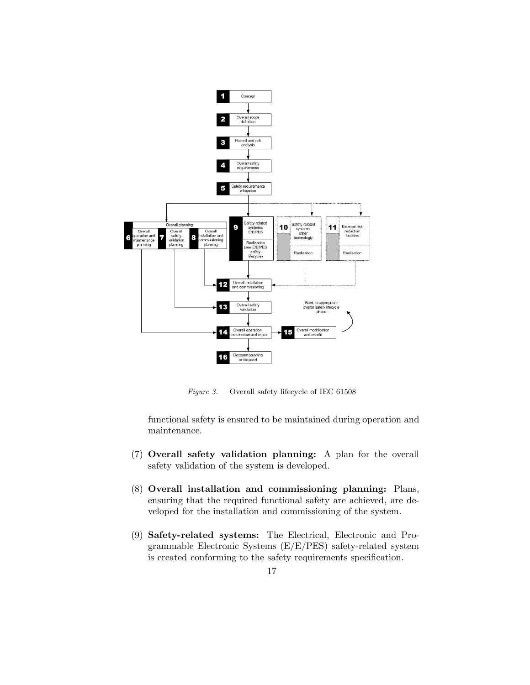

*Figure 3.* Overall safety lifecycle of IEC 61508

functional safety is ensured to be maintained during operation and maintenance.

- (7) **Overall safety validation planning:** A plan for the overall safety validation of the system is developed.
- (8) **Overall installation and commissioning planning:** Plans, ensuring that the required functional safety are achieved, are developed for the installation and commissioning of the system.
- (9) **Safety-related systems:** The Electrical, Electronic and Programmable Electronic Systems (E/E/PES) safety-related system is created conforming to the safety requirements specification.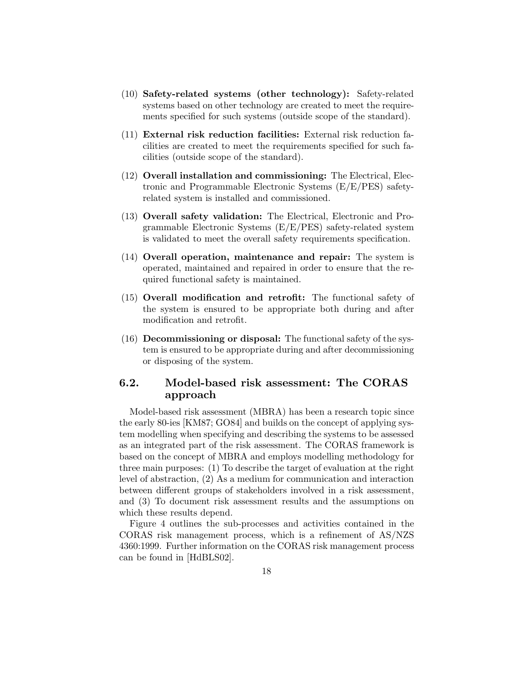- (10) **Safety-related systems (other technology):** Safety-related systems based on other technology are created to meet the requirements specified for such systems (outside scope of the standard).
- (11) **External risk reduction facilities:** External risk reduction facilities are created to meet the requirements specified for such facilities (outside scope of the standard).
- (12) **Overall installation and commissioning:** The Electrical, Electronic and Programmable Electronic Systems (E/E/PES) safetyrelated system is installed and commissioned.
- (13) **Overall safety validation:** The Electrical, Electronic and Programmable Electronic Systems (E/E/PES) safety-related system is validated to meet the overall safety requirements specification.
- (14) **Overall operation, maintenance and repair:** The system is operated, maintained and repaired in order to ensure that the required functional safety is maintained.
- (15) **Overall modification and retrofit:** The functional safety of the system is ensured to be appropriate both during and after modification and retrofit.
- (16) **Decommissioning or disposal:** The functional safety of the system is ensured to be appropriate during and after decommissioning or disposing of the system.

## **6.2. Model-based risk assessment: The CORAS approach**

Model-based risk assessment (MBRA) has been a research topic since the early 80-ies [KM87; GO84] and builds on the concept of applying system modelling when specifying and describing the systems to be assessed as an integrated part of the risk assessment. The CORAS framework is based on the concept of MBRA and employs modelling methodology for three main purposes: (1) To describe the target of evaluation at the right level of abstraction, (2) As a medium for communication and interaction between different groups of stakeholders involved in a risk assessment, and (3) To document risk assessment results and the assumptions on which these results depend.

Figure 4 outlines the sub-processes and activities contained in the CORAS risk management process, which is a refinement of AS/NZS 4360:1999. Further information on the CORAS risk management process can be found in [HdBLS02].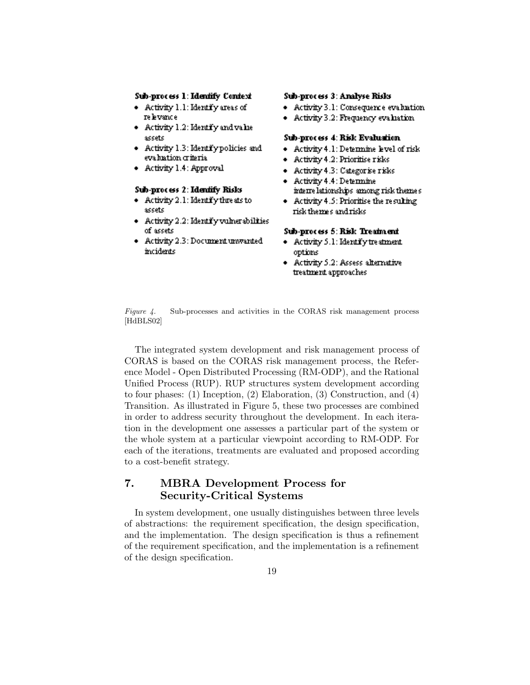#### Sub-process 1: Identify Context

- Activity 1.1: Identify areas of relevance
- · Activity 1.2: Identify and value assets
- Activity 1.3: Identify policies and eva biation criteria
- Activity 1.4: Approval

#### Sub-process 2: Identify Risks

- · Activity 2.1: Identify threats to assets
- $\bullet$  Activity  $2.2$ : Identify vulnerabilities of assets
- · Activity 2.3: Document unwanted *incidents*

#### Sub-process 3: Analyse Risks

- Activity 3.1: Consequence evaluation
- Activity 3.2: Frequency evaluation

#### Sub-process 4: Risk Evaluation

- Activity 4.1: Determine level of risk
- Activity 4.2: Prioritise risks
- Activity 4.3: Categorise risks
- Activity 4.4: Determine interrelationships among risk themes
- $\bullet$  Activity 4.5: Prioritise the resulting risk themes and risks.

### Sub-process 5: Risk Treatment

- Activity 5.1: Identify treatment options
- Activity 5.2: Assess alternative treatment approaches

*Figure 4.* Sub-processes and activities in the CORAS risk management process [HdBLS02]

The integrated system development and risk management process of CORAS is based on the CORAS risk management process, the Reference Model - Open Distributed Processing (RM-ODP), and the Rational Unified Process (RUP). RUP structures system development according to four phases: (1) Inception, (2) Elaboration, (3) Construction, and (4) Transition. As illustrated in Figure 5, these two processes are combined in order to address security throughout the development. In each iteration in the development one assesses a particular part of the system or the whole system at a particular viewpoint according to RM-ODP. For each of the iterations, treatments are evaluated and proposed according to a cost-benefit strategy.

## **7. MBRA Development Process for Security-Critical Systems**

In system development, one usually distinguishes between three levels of abstractions: the requirement specification, the design specification, and the implementation. The design specification is thus a refinement of the requirement specification, and the implementation is a refinement of the design specification.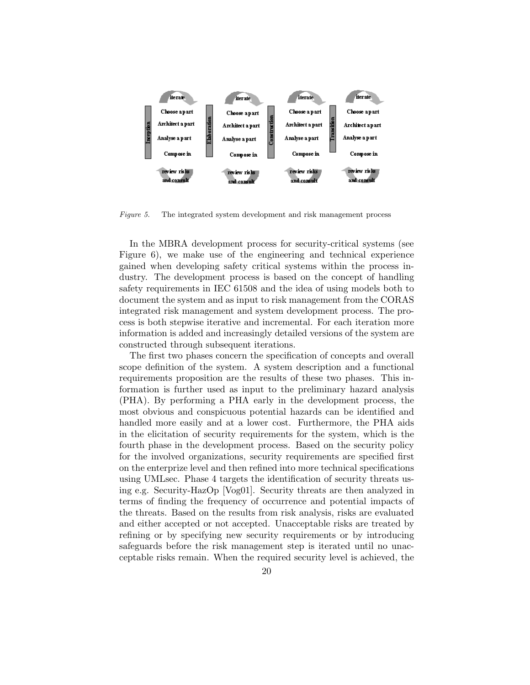

*Figure 5.* The integrated system development and risk management process

In the MBRA development process for security-critical systems (see Figure 6), we make use of the engineering and technical experience gained when developing safety critical systems within the process industry. The development process is based on the concept of handling safety requirements in IEC 61508 and the idea of using models both to document the system and as input to risk management from the CORAS integrated risk management and system development process. The process is both stepwise iterative and incremental. For each iteration more information is added and increasingly detailed versions of the system are constructed through subsequent iterations.

The first two phases concern the specification of concepts and overall scope definition of the system. A system description and a functional requirements proposition are the results of these two phases. This information is further used as input to the preliminary hazard analysis (PHA). By performing a PHA early in the development process, the most obvious and conspicuous potential hazards can be identified and handled more easily and at a lower cost. Furthermore, the PHA aids in the elicitation of security requirements for the system, which is the fourth phase in the development process. Based on the security policy for the involved organizations, security requirements are specified first on the enterprize level and then refined into more technical specifications using UMLsec. Phase 4 targets the identification of security threats using e.g. Security-HazOp [Vog01]. Security threats are then analyzed in terms of finding the frequency of occurrence and potential impacts of the threats. Based on the results from risk analysis, risks are evaluated and either accepted or not accepted. Unacceptable risks are treated by refining or by specifying new security requirements or by introducing safeguards before the risk management step is iterated until no unacceptable risks remain. When the required security level is achieved, the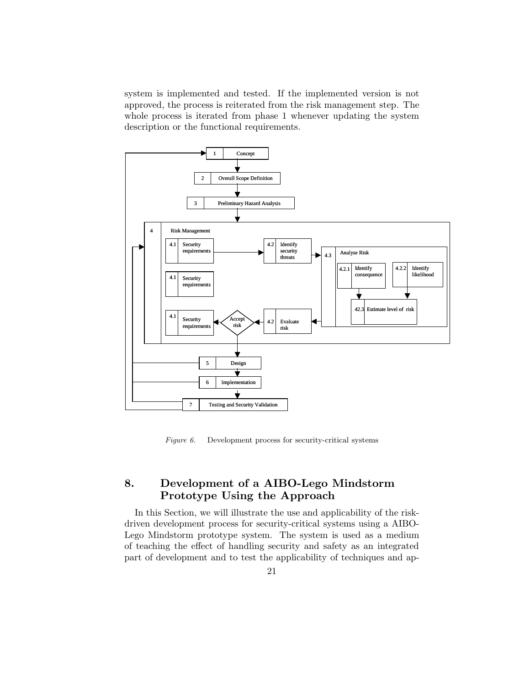system is implemented and tested. If the implemented version is not approved, the process is reiterated from the risk management step. The whole process is iterated from phase 1 whenever updating the system description or the functional requirements.



*Figure 6.* Development process for security-critical systems

## **8. Development of a AIBO-Lego Mindstorm Prototype Using the Approach**

In this Section, we will illustrate the use and applicability of the riskdriven development process for security-critical systems using a AIBO-Lego Mindstorm prototype system. The system is used as a medium of teaching the effect of handling security and safety as an integrated part of development and to test the applicability of techniques and ap-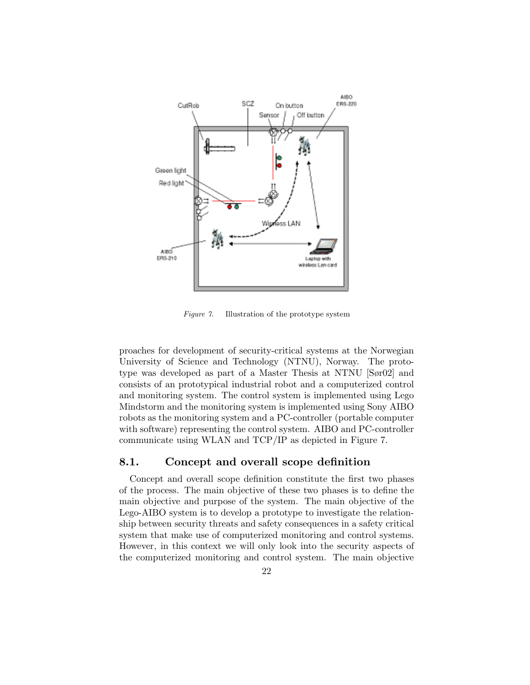

*Figure 7.* Illustration of the prototype system

proaches for development of security-critical systems at the Norwegian University of Science and Technology (NTNU), Norway. The prototype was developed as part of a Master Thesis at NTNU [Sør02] and consists of an prototypical industrial robot and a computerized control and monitoring system. The control system is implemented using Lego Mindstorm and the monitoring system is implemented using Sony AIBO robots as the monitoring system and a PC-controller (portable computer with software) representing the control system. AIBO and PC-controller communicate using WLAN and TCP/IP as depicted in Figure 7.

## **8.1. Concept and overall scope definition**

Concept and overall scope definition constitute the first two phases of the process. The main objective of these two phases is to define the main objective and purpose of the system. The main objective of the Lego-AIBO system is to develop a prototype to investigate the relationship between security threats and safety consequences in a safety critical system that make use of computerized monitoring and control systems. However, in this context we will only look into the security aspects of the computerized monitoring and control system. The main objective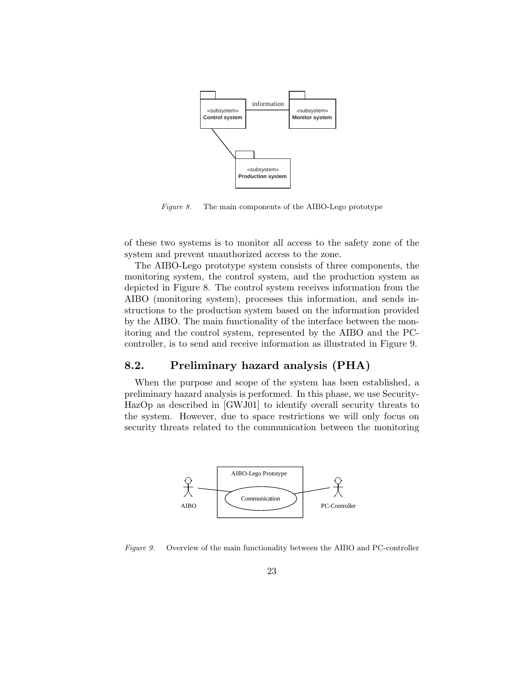

*Figure 8.* The main components of the AIBO-Lego prototype

of these two systems is to monitor all access to the safety zone of the system and prevent unauthorized access to the zone.

The AIBO-Lego prototype system consists of three components, the monitoring system, the control system, and the production system as depicted in Figure 8. The control system receives information from the AIBO (monitoring system), processes this information, and sends instructions to the production system based on the information provided by the AIBO. The main functionality of the interface between the monitoring and the control system, represented by the AIBO and the PCcontroller, is to send and receive information as illustrated in Figure 9.

## **8.2. Preliminary hazard analysis (PHA)**

When the purpose and scope of the system has been established, a preliminary hazard analysis is performed. In this phase, we use Security-HazOp as described in [GWJ01] to identify overall security threats to the system. However, due to space restrictions we will only focus on security threats related to the communication between the monitoring



*Figure 9.* Overview of the main functionality between the AIBO and PC-controller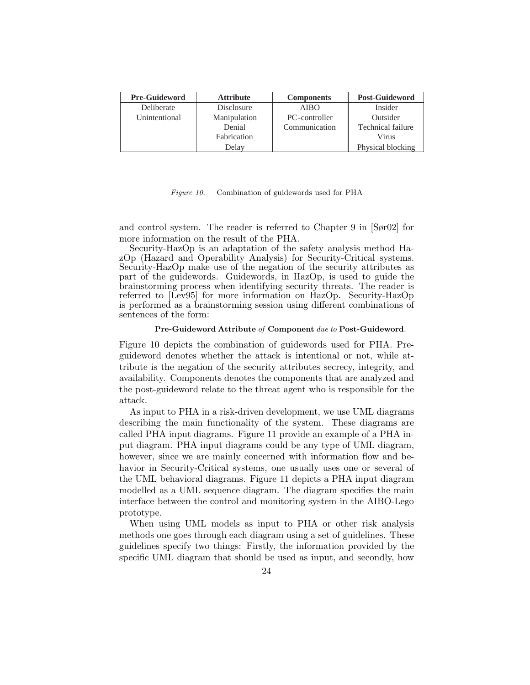| <b>Pre-Guideword</b> | <b>Attribute</b>  | <b>Components</b> | <b>Post-Guideword</b> |  |
|----------------------|-------------------|-------------------|-----------------------|--|
| Deliberate           | <b>Disclosure</b> | <b>AIBO</b>       | Insider               |  |
| Unintentional        | Manipulation      | PC-controller     | <b>Outsider</b>       |  |
|                      | Denial            | Communication     | Technical failure     |  |
|                      | Fabrication       |                   | Virus                 |  |
|                      | Delay             |                   | Physical blocking     |  |

*Figure 10.* Combination of guidewords used for PHA

and control system. The reader is referred to Chapter 9 in [Sør02] for more information on the result of the PHA.

Security-HazOp is an adaptation of the safety analysis method HazOp (Hazard and Operability Analysis) for Security-Critical systems. Security-HazOp make use of the negation of the security attributes as part of the guidewords. Guidewords, in HazOp, is used to guide the brainstorming process when identifying security threats. The reader is referred to [Lev95] for more information on HazOp. Security-HazOp is performed as a brainstorming session using different combinations of sentences of the form:

#### **Pre-Guideword Attribute** *of* **Component** *due to* **Post-Guideword**.

Figure 10 depicts the combination of guidewords used for PHA. Preguideword denotes whether the attack is intentional or not, while attribute is the negation of the security attributes secrecy, integrity, and availability. Components denotes the components that are analyzed and the post-guideword relate to the threat agent who is responsible for the attack.

As input to PHA in a risk-driven development, we use UML diagrams describing the main functionality of the system. These diagrams are called PHA input diagrams. Figure 11 provide an example of a PHA input diagram. PHA input diagrams could be any type of UML diagram, however, since we are mainly concerned with information flow and behavior in Security-Critical systems, one usually uses one or several of the UML behavioral diagrams. Figure 11 depicts a PHA input diagram modelled as a UML sequence diagram. The diagram specifies the main interface between the control and monitoring system in the AIBO-Lego prototype.

When using UML models as input to PHA or other risk analysis methods one goes through each diagram using a set of guidelines. These guidelines specify two things: Firstly, the information provided by the specific UML diagram that should be used as input, and secondly, how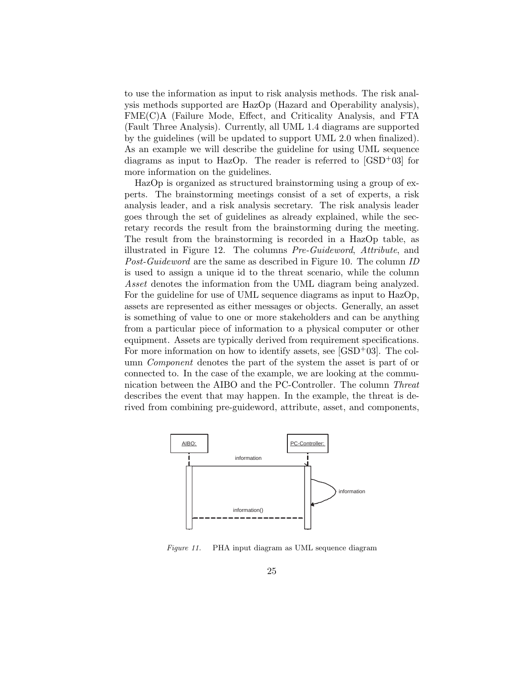to use the information as input to risk analysis methods. The risk analysis methods supported are HazOp (Hazard and Operability analysis), FME(C)A (Failure Mode, Effect, and Criticality Analysis, and FTA (Fault Three Analysis). Currently, all UML 1.4 diagrams are supported by the guidelines (will be updated to support UML 2.0 when finalized). As an example we will describe the guideline for using UML sequence diagrams as input to HazOp. The reader is referred to  $[GSD<sup>+</sup>03]$  for more information on the guidelines.

HazOp is organized as structured brainstorming using a group of experts. The brainstorming meetings consist of a set of experts, a risk analysis leader, and a risk analysis secretary. The risk analysis leader goes through the set of guidelines as already explained, while the secretary records the result from the brainstorming during the meeting. The result from the brainstorming is recorded in a HazOp table, as illustrated in Figure 12. The columns *Pre-Guideword*, *Attribute*, and *Post-Guideword* are the same as described in Figure 10. The column *ID* is used to assign a unique id to the threat scenario, while the column *Asset* denotes the information from the UML diagram being analyzed. For the guideline for use of UML sequence diagrams as input to HazOp, assets are represented as either messages or objects. Generally, an asset is something of value to one or more stakeholders and can be anything from a particular piece of information to a physical computer or other equipment. Assets are typically derived from requirement specifications. For more information on how to identify assets, see  $[GSD<sup>+</sup>03]$ . The column *Component* denotes the part of the system the asset is part of or connected to. In the case of the example, we are looking at the communication between the AIBO and the PC-Controller. The column *Threat* describes the event that may happen. In the example, the threat is derived from combining pre-guideword, attribute, asset, and components,



*Figure 11.* PHA input diagram as UML sequence diagram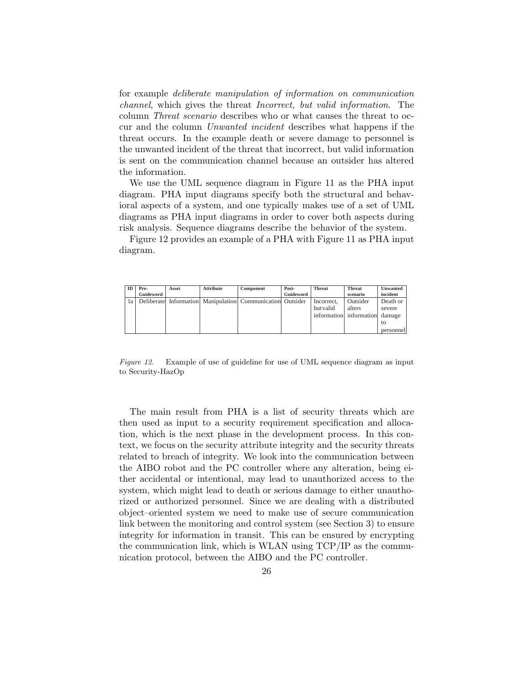for example *deliberate manipulation of information on communication channel*, which gives the threat *Incorrect, but valid information*. The column *Threat scenario* describes who or what causes the threat to occur and the column *Unwanted incident* describes what happens if the threat occurs. In the example death or severe damage to personnel is the unwanted incident of the threat that incorrect, but valid information is sent on the communication channel because an outsider has altered the information.

We use the UML sequence diagram in Figure 11 as the PHA input diagram. PHA input diagrams specify both the structural and behavioral aspects of a system, and one typically makes use of a set of UML diagrams as PHA input diagrams in order to cover both aspects during risk analysis. Sequence diagrams describe the behavior of the system.

Figure 12 provides an example of a PHA with Figure 11 as PHA input diagram.

|    | Pre-      | Asset | <b>Attribute</b> | Component                                                  | Post-     | <b>Threat</b> | <b>Threat</b>                  | Unwanted  |
|----|-----------|-------|------------------|------------------------------------------------------------|-----------|---------------|--------------------------------|-----------|
|    | Guideword |       |                  |                                                            | Guideword |               | scenario                       | incident  |
| 1a |           |       |                  | Deliberate Information Manipulation Communication Outsider |           | Incorrect,    | Outsider                       | Death or  |
|    |           |       |                  |                                                            |           | but valid     | alters                         | severe    |
|    |           |       |                  |                                                            |           |               | information information damage |           |
|    |           |       |                  |                                                            |           |               |                                | to        |
|    |           |       |                  |                                                            |           |               |                                | personnel |

*Figure 12.* Example of use of guideline for use of UML sequence diagram as input to Security-HazOp

The main result from PHA is a list of security threats which are then used as input to a security requirement specification and allocation, which is the next phase in the development process. In this context, we focus on the security attribute integrity and the security threats related to breach of integrity. We look into the communication between the AIBO robot and the PC controller where any alteration, being either accidental or intentional, may lead to unauthorized access to the system, which might lead to death or serious damage to either unauthorized or authorized personnel. Since we are dealing with a distributed object–oriented system we need to make use of secure communication link between the monitoring and control system (see Section 3) to ensure integrity for information in transit. This can be ensured by encrypting the communication link, which is WLAN using TCP/IP as the communication protocol, between the AIBO and the PC controller.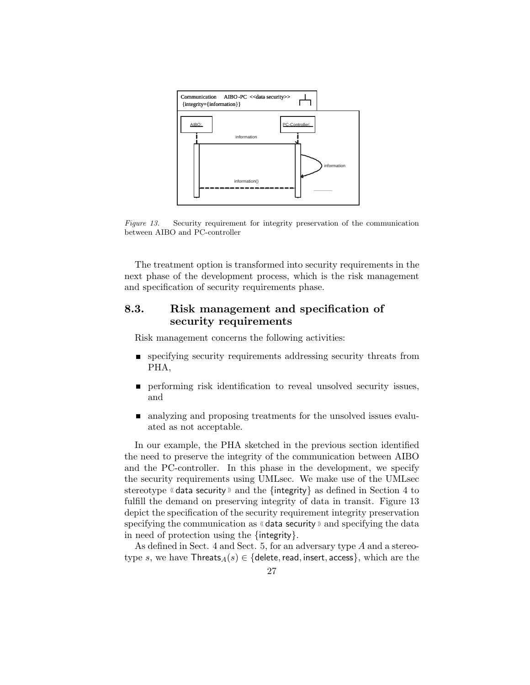

*Figure 13.* Security requirement for integrity preservation of the communication between AIBO and PC-controller

The treatment option is transformed into security requirements in the next phase of the development process, which is the risk management and specification of security requirements phase.

## **8.3. Risk management and specification of security requirements**

Risk management concerns the following activities:

- specifying security requirements addressing security threats from PHA,
- **Performing risk identification to reveal unsolved security issues,** and
- analyzing and proposing treatments for the unsolved issues evaluated as not acceptable.

In our example, the PHA sketched in the previous section identified the need to preserve the integrity of the communication between AIBO and the PC-controller. In this phase in the development, we specify the security requirements using UMLsec. We make use of the UMLsec stereotype  $\%$  data security  $\%$  and the {integrity} as defined in Section 4 to fulfill the demand on preserving integrity of data in transit. Figure 13 depict the specification of the security requirement integrity preservation specifying the communication as  $\%$  data security  $\%$  and specifying the data in need of protection using the {integrity}.

As defined in Sect. 4 and Sect. 5, for an adversary type *A* and a stereotype *s*, we have  $\text{Threats}_A(s) \in \{\text{delete}, \text{read}, \text{insert}, \text{access}\},$  which are the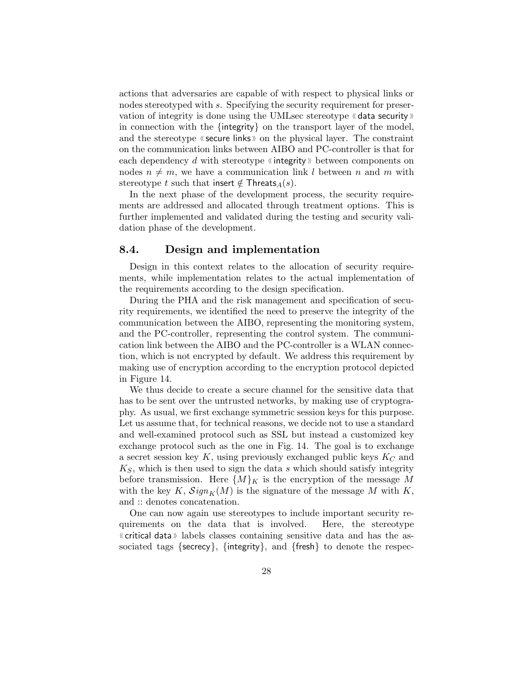actions that adversaries are capable of with respect to physical links or nodes stereotyped with *s*. Specifying the security requirement for preservation of integrity is done using the UMLsec stereotype « data security » in connection with the {integrity} on the transport layer of the model, and the stereotype « secure links » on the physical layer. The constraint on the communication links between AIBO and PC-controller is that for each dependency  $d$  with stereotype  $\kappa$  integrity  $\kappa$  between components on nodes  $n \neq m$ , we have a communication link *l* between *n* and *m* with stereotype *t* such that insert  $\notin$  Threats<sub>*A*</sub>(*s*).

In the next phase of the development process, the security requirements are addressed and allocated through treatment options. This is further implemented and validated during the testing and security validation phase of the development.

#### **8.4. Design and implementation**

Design in this context relates to the allocation of security requirements, while implementation relates to the actual implementation of the requirements according to the design specification.

During the PHA and the risk management and specification of security requirements, we identified the need to preserve the integrity of the communication between the AIBO, representing the monitoring system, and the PC-controller, representing the control system. The communication link between the AIBO and the PC-controller is a WLAN connection, which is not encrypted by default. We address this requirement by making use of encryption according to the encryption protocol depicted in Figure 14.

We thus decide to create a secure channel for the sensitive data that has to be sent over the untrusted networks, by making use of cryptography. As usual, we first exchange symmetric session keys for this purpose. Let us assume that, for technical reasons, we decide not to use a standard and well-examined protocol such as SSL but instead a customized key exchange protocol such as the one in Fig. 14. The goal is to exchange a secret session key *K*, using previously exchanged public keys *K<sup>C</sup>* and *KS*, which is then used to sign the data *s* which should satisfy integrity before transmission. Here  $\{M\}_K$  is the encryption of the message M with the key K,  $Sign_K(M)$  is the signature of the message M with K, and :: denotes concatenation.

One can now again use stereotypes to include important security requirements on the data that is involved. Here, the stereotype « critical data » labels classes containing sensitive data and has the associated tags {secrecy}, {integrity}, and {fresh} to denote the respec-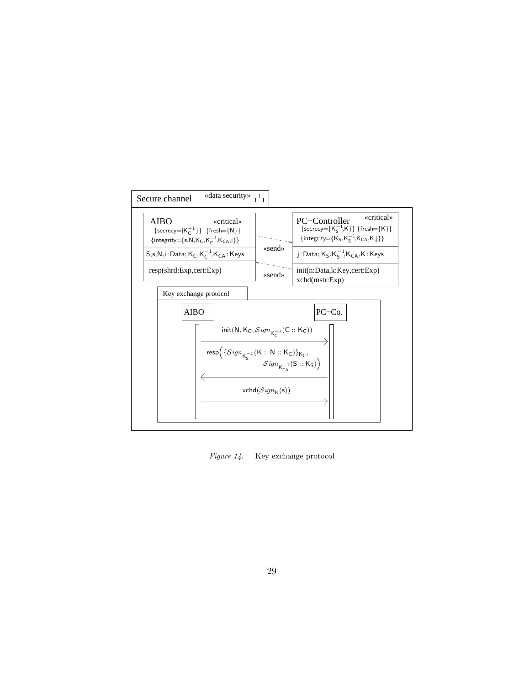

*Figure 14.* Key exchange protocol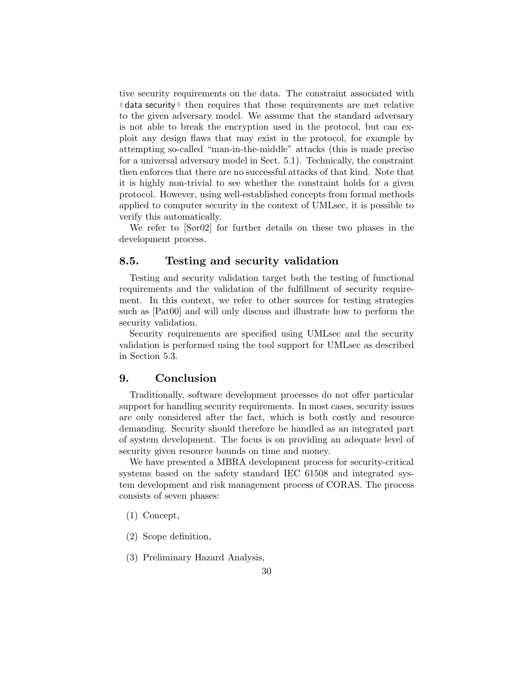tive security requirements on the data. The constraint associated with « data security » then requires that these requirements are met relative to the given adversary model. We assume that the standard adversary is not able to break the encryption used in the protocol, but can exploit any design flaws that may exist in the protocol, for example by attempting so-called "man-in-the-middle" attacks (this is made precise for a universal adversary model in Sect. 5.1). Technically, the constraint then enforces that there are no successful attacks of that kind. Note that it is highly non-trivial to see whether the constraint holds for a given protocol. However, using well-established concepts from formal methods applied to computer security in the context of UMLsec, it is possible to verify this automatically.

We refer to [Sør02] for further details on these two phases in the development process.

### **8.5. Testing and security validation**

Testing and security validation target both the testing of functional requirements and the validation of the fulfillment of security requirement. In this context, we refer to other sources for testing strategies such as [Pat00] and will only discuss and illustrate how to perform the security validation.

Security requirements are specified using UMLsec and the security validation is performed using the tool support for UMLsec as described in Section 5.3.

### **9. Conclusion**

Traditionally, software development processes do not offer particular support for handling security requirements. In most cases, security issues are only considered after the fact, which is both costly and resource demanding. Security should therefore be handled as an integrated part of system development. The focus is on providing an adequate level of security given resource bounds on time and money.

We have presented a MBRA development process for security-critical systems based on the safety standard IEC 61508 and integrated system development and risk management process of CORAS. The process consists of seven phases:

#### (1) Concept,

- (2) Scope definition,
- (3) Preliminary Hazard Analysis,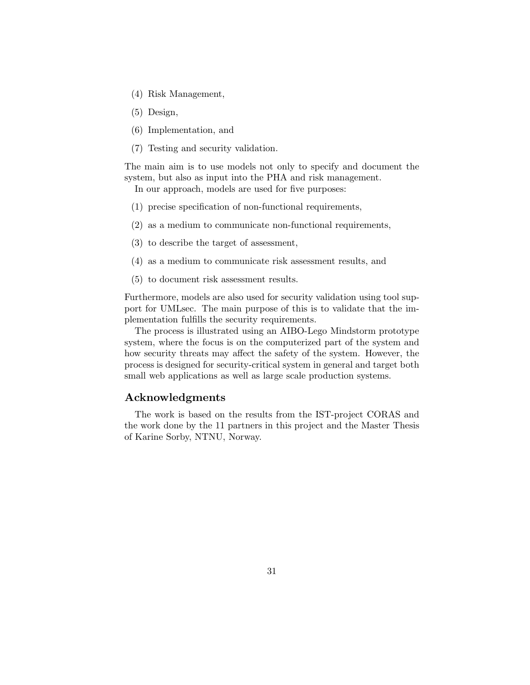- (4) Risk Management,
- (5) Design,
- (6) Implementation, and
- (7) Testing and security validation.

The main aim is to use models not only to specify and document the system, but also as input into the PHA and risk management.

In our approach, models are used for five purposes:

- (1) precise specification of non-functional requirements,
- (2) as a medium to communicate non-functional requirements,
- (3) to describe the target of assessment,
- (4) as a medium to communicate risk assessment results, and
- (5) to document risk assessment results.

Furthermore, models are also used for security validation using tool support for UMLsec. The main purpose of this is to validate that the implementation fulfills the security requirements.

The process is illustrated using an AIBO-Lego Mindstorm prototype system, where the focus is on the computerized part of the system and how security threats may affect the safety of the system. However, the process is designed for security-critical system in general and target both small web applications as well as large scale production systems.

### **Acknowledgments**

The work is based on the results from the IST-project CORAS and the work done by the 11 partners in this project and the Master Thesis of Karine Sorby, NTNU, Norway.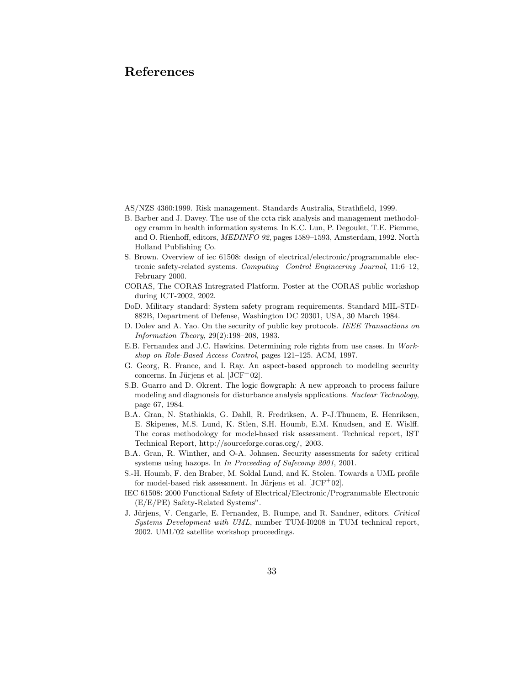## **References**

AS/NZS 4360:1999. Risk management. Standards Australia, Strathfield, 1999.

- B. Barber and J. Davey. The use of the ccta risk analysis and management methodology cramm in health information systems. In K.C. Lun, P. Degoulet, T.E. Piemme, and O. Rienhoff, editors, *MEDINFO 92*, pages 1589–1593, Amsterdam, 1992. North Holland Publishing Co.
- S. Brown. Overview of iec 61508: design of electrical/electronic/programmable electronic safety-related systems. *Computing Control Engineering Journal*, 11:6–12, February 2000.
- CORAS, The CORAS Intregrated Platform. Poster at the CORAS public workshop during ICT-2002, 2002.
- DoD. Military standard: System safety program requirements. Standard MIL-STD-882B, Department of Defense, Washington DC 20301, USA, 30 March 1984.
- D. Dolev and A. Yao. On the security of public key protocols. *IEEE Transactions on Information Theory*, 29(2):198–208, 1983.
- E.B. Fernandez and J.C. Hawkins. Determining role rights from use cases. In *Workshop on Role-Based Access Control*, pages 121–125. ACM, 1997.
- G. Georg, R. France, and I. Ray. An aspect-based approach to modeling security concerns. In Jürjens et al.  $[JCF<sup>+</sup>02]$ .
- S.B. Guarro and D. Okrent. The logic flowgraph: A new approach to process failure modeling and diagnonsis for disturbance analysis applications. *Nuclear Technology*, page 67, 1984.
- B.A. Gran, N. Stathiakis, G. Dahll, R. Fredriksen, A. P-J.Thunem, E. Henriksen, E. Skipenes, M.S. Lund, K. Stlen, S.H. Houmb, E.M. Knudsen, and E. Wislff. The coras methodology for model-based risk assessment. Technical report, IST Technical Report, http://sourceforge.coras.org/, 2003.
- B.A. Gran, R. Winther, and O-A. Johnsen. Security assessments for safety critical systems using hazops. In *In Proceeding of Safecomp 2001*, 2001.
- S.-H. Houmb, F. den Braber, M. Soldal Lund, and K. Stolen. Towards a UML profile for model-based risk assessment. In Jürjens et al.  $[JCF^+02]$ .
- IEC 61508: 2000 Functional Safety of Electrical/Electronic/Programmable Electronic (E/E/PE) Safety-Related Systems".
- J. Jürjens, V. Cengarle, E. Fernandez, B. Rumpe, and R. Sandner, editors. *Critical Systems Development with UML*, number TUM-I0208 in TUM technical report, 2002. UML'02 satellite workshop proceedings.